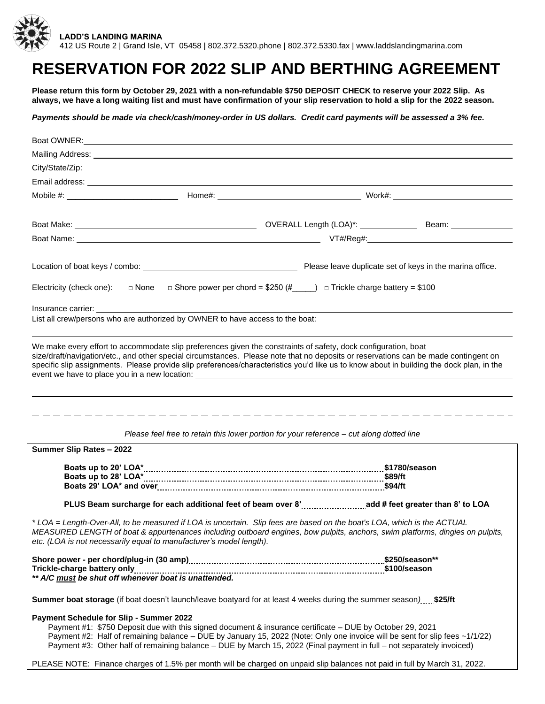

# **RESERVATION FOR 2022 SLIP AND BERTHING AGREEMENT**

**Please return this form by October 29, 2021 with a non-refundable \$750 DEPOSIT CHECK to reserve your 2022 Slip. As always, we have a long waiting list and must have confirmation of your slip reservation to hold a slip for the 2022 season.**

*Payments should be made via check/cash/money-order in US dollars. Credit card payments will be assessed a 3% fee.*

|                                                                                                                                                                                                                                                                                                                                | Boat OWNER: <u>All Annual Communications</u> and the communications of the communications of the communications of the communications of the communications of the communications of the communications of the communications of th                                                                                                                                                               |
|--------------------------------------------------------------------------------------------------------------------------------------------------------------------------------------------------------------------------------------------------------------------------------------------------------------------------------|---------------------------------------------------------------------------------------------------------------------------------------------------------------------------------------------------------------------------------------------------------------------------------------------------------------------------------------------------------------------------------------------------|
|                                                                                                                                                                                                                                                                                                                                | Mailing Address: <u>Quarteria and the contract of the contract of the contract of the contract of the contract of the contract of the contract of the contract of the contract of the contract of the contract of the contract o</u>                                                                                                                                                              |
|                                                                                                                                                                                                                                                                                                                                |                                                                                                                                                                                                                                                                                                                                                                                                   |
|                                                                                                                                                                                                                                                                                                                                | Email address: <u>example and the contract of the contract of the contract of the contract of the contract of the contract of the contract of the contract of the contract of the contract of the contract of the contract of th</u>                                                                                                                                                              |
|                                                                                                                                                                                                                                                                                                                                |                                                                                                                                                                                                                                                                                                                                                                                                   |
|                                                                                                                                                                                                                                                                                                                                |                                                                                                                                                                                                                                                                                                                                                                                                   |
|                                                                                                                                                                                                                                                                                                                                |                                                                                                                                                                                                                                                                                                                                                                                                   |
|                                                                                                                                                                                                                                                                                                                                |                                                                                                                                                                                                                                                                                                                                                                                                   |
|                                                                                                                                                                                                                                                                                                                                |                                                                                                                                                                                                                                                                                                                                                                                                   |
|                                                                                                                                                                                                                                                                                                                                |                                                                                                                                                                                                                                                                                                                                                                                                   |
|                                                                                                                                                                                                                                                                                                                                | Electricity (check one): $\Box$ None $\Box$ Shore power per chord = \$250 (# $\Box$ ) $\Box$ Trickle charge battery = \$100                                                                                                                                                                                                                                                                       |
| Insurance carrier: and the state of the state of the state of the state of the state of the state of the state of the state of the state of the state of the state of the state of the state of the state of the state of the                                                                                                  |                                                                                                                                                                                                                                                                                                                                                                                                   |
| List all crew/persons who are authorized by OWNER to have access to the boat:                                                                                                                                                                                                                                                  |                                                                                                                                                                                                                                                                                                                                                                                                   |
|                                                                                                                                                                                                                                                                                                                                |                                                                                                                                                                                                                                                                                                                                                                                                   |
|                                                                                                                                                                                                                                                                                                                                | We make every effort to accommodate slip preferences given the constraints of safety, dock configuration, boat<br>size/draft/navigation/etc., and other special circumstances. Please note that no deposits or reservations can be made contingent on<br>specific slip assignments. Please provide slip preferences/characteristics you'd like us to know about in building the dock plan, in the |
|                                                                                                                                                                                                                                                                                                                                |                                                                                                                                                                                                                                                                                                                                                                                                   |
|                                                                                                                                                                                                                                                                                                                                | Please feel free to retain this lower portion for your reference - cut along dotted line                                                                                                                                                                                                                                                                                                          |
| Summer Slip Rates - 2022                                                                                                                                                                                                                                                                                                       |                                                                                                                                                                                                                                                                                                                                                                                                   |
|                                                                                                                                                                                                                                                                                                                                |                                                                                                                                                                                                                                                                                                                                                                                                   |
|                                                                                                                                                                                                                                                                                                                                |                                                                                                                                                                                                                                                                                                                                                                                                   |
|                                                                                                                                                                                                                                                                                                                                |                                                                                                                                                                                                                                                                                                                                                                                                   |
|                                                                                                                                                                                                                                                                                                                                |                                                                                                                                                                                                                                                                                                                                                                                                   |
| *LOA = Length-Over-All, to be measured if LOA is uncertain. Slip fees are based on the boat's LOA, which is the ACTUAL<br>MEASURED LENGTH of boat & appurtenances including outboard engines, bow pulpits, anchors, swim platforms, dingies on pulpits,<br>etc. (LOA is not necessarily equal to manufacturer's model length). |                                                                                                                                                                                                                                                                                                                                                                                                   |
|                                                                                                                                                                                                                                                                                                                                | Trickle-charge battery only <u>manual contract and contract and contract and contract and</u> the state of the state o<br>** A/C <u>must</u> be shut off whenever boat is unattended.                                                                                                                                                                                                             |
|                                                                                                                                                                                                                                                                                                                                |                                                                                                                                                                                                                                                                                                                                                                                                   |
|                                                                                                                                                                                                                                                                                                                                | Summer boat storage (if boat doesn't launch/leave boatyard for at least 4 weeks during the summer season) \$25/ft                                                                                                                                                                                                                                                                                 |
| <b>Payment Schedule for Slip - Summer 2022</b>                                                                                                                                                                                                                                                                                 |                                                                                                                                                                                                                                                                                                                                                                                                   |
|                                                                                                                                                                                                                                                                                                                                | Payment #1: \$750 Deposit due with this signed document & insurance certificate - DUE by October 29, 2021<br>Payment #2: Half of remaining balance - DUE by January 15, 2022 (Note: Only one invoice will be sent for slip fees ~1/1/22)<br>Payment #3: Other half of remaining balance – DUE by March 15, 2022 (Final payment in full – not separately invoiced)                                 |
|                                                                                                                                                                                                                                                                                                                                | PLEASE NOTE: Finance charges of 1.5% per month will be charged on unpaid slip balances not paid in full by March 31, 2022.                                                                                                                                                                                                                                                                        |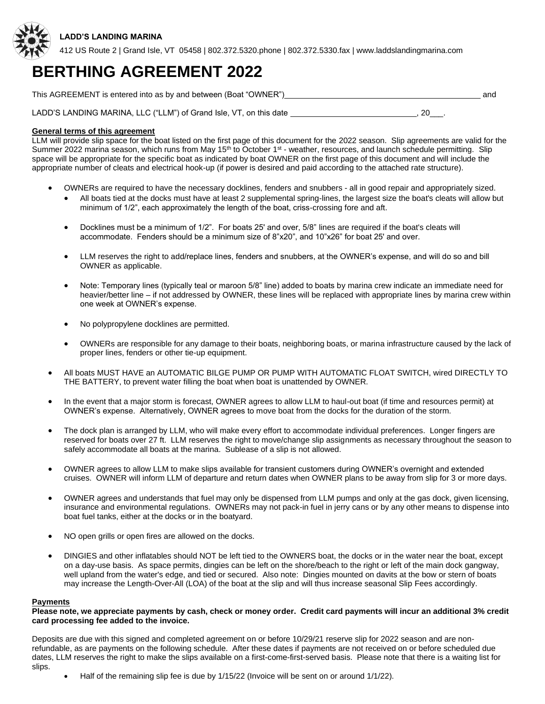

412 US Route 2 | Grand Isle, VT 05458 | 802.372.5320.phone | 802.372.5330.fax | www.laddslandingmarina.com

# **BERTHING AGREEMENT 2022**

This AGREEMENT is entered into as by and between (Boat "OWNER") and

LADD'S LANDING MARINA, LLC ("LLM") of Grand Isle, VT, on this date **6. All 20 and 1999**, 20 and 20 and 20 and 20

## **General terms of this agreement**

LLM will provide slip space for the boat listed on the first page of this document for the 2022 season. Slip agreements are valid for the Summer 2022 marina season, which runs from May 15<sup>th</sup> to October 1<sup>st</sup> - weather, resources, and launch schedule permitting. Slip space will be appropriate for the specific boat as indicated by boat OWNER on the first page of this document and will include the appropriate number of cleats and electrical hook-up (if power is desired and paid according to the attached rate structure).

- OWNERs are required to have the necessary docklines, fenders and snubbers all in good repair and appropriately sized.
	- All boats tied at the docks must have at least 2 supplemental spring-lines, the largest size the boat's cleats will allow but minimum of 1/2", each approximately the length of the boat, criss-crossing fore and aft.
	- Docklines must be a minimum of 1/2". For boats 25' and over, 5/8" lines are required if the boat's cleats will accommodate. Fenders should be a minimum size of 8"x20", and 10"x26" for boat 25' and over.
	- LLM reserves the right to add/replace lines, fenders and snubbers, at the OWNER's expense, and will do so and bill OWNER as applicable.
	- Note: Temporary lines (typically teal or maroon 5/8" line) added to boats by marina crew indicate an immediate need for heavier/better line – if not addressed by OWNER, these lines will be replaced with appropriate lines by marina crew within one week at OWNER's expense.
	- No polypropylene docklines are permitted.
	- OWNERs are responsible for any damage to their boats, neighboring boats, or marina infrastructure caused by the lack of proper lines, fenders or other tie-up equipment.
- All boats MUST HAVE an AUTOMATIC BILGE PUMP OR PUMP WITH AUTOMATIC FLOAT SWITCH, wired DIRECTLY TO THE BATTERY, to prevent water filling the boat when boat is unattended by OWNER.
- In the event that a major storm is forecast, OWNER agrees to allow LLM to haul-out boat (if time and resources permit) at OWNER's expense. Alternatively, OWNER agrees to move boat from the docks for the duration of the storm.
- The dock plan is arranged by LLM, who will make every effort to accommodate individual preferences. Longer fingers are reserved for boats over 27 ft. LLM reserves the right to move/change slip assignments as necessary throughout the season to safely accommodate all boats at the marina. Sublease of a slip is not allowed.
- OWNER agrees to allow LLM to make slips available for transient customers during OWNER's overnight and extended cruises. OWNER will inform LLM of departure and return dates when OWNER plans to be away from slip for 3 or more days.
- OWNER agrees and understands that fuel may only be dispensed from LLM pumps and only at the gas dock, given licensing, insurance and environmental regulations. OWNERs may not pack-in fuel in jerry cans or by any other means to dispense into boat fuel tanks, either at the docks or in the boatyard.
- NO open grills or open fires are allowed on the docks.
- DINGIES and other inflatables should NOT be left tied to the OWNERS boat, the docks or in the water near the boat, except on a day-use basis. As space permits, dingies can be left on the shore/beach to the right or left of the main dock gangway, well upland from the water's edge, and tied or secured. Also note: Dingies mounted on davits at the bow or stern of boats may increase the Length-Over-All (LOA) of the boat at the slip and will thus increase seasonal Slip Fees accordingly.

### **Payments**

### **Please note, we appreciate payments by cash, check or money order. Credit card payments will incur an additional 3% credit card processing fee added to the invoice.**

Deposits are due with this signed and completed agreement on or before 10/29/21 reserve slip for 2022 season and are nonrefundable, as are payments on the following schedule. After these dates if payments are not received on or before scheduled due dates, LLM reserves the right to make the slips available on a first-come-first-served basis. Please note that there is a waiting list for slips.

• Half of the remaining slip fee is due by 1/15/22 (Invoice will be sent on or around 1/1/22).